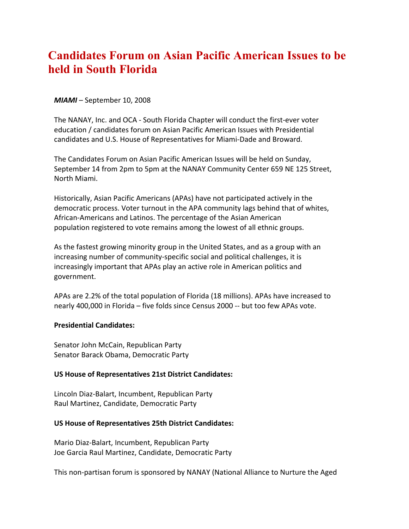# **Candidates Forum on Asian Pacific American Issues to be held in South Florida**

### *MIAMI* – September 10, 2008

The NANAY, Inc. and OCA - South Florida Chapter will conduct the first-ever voter education / candidates forum on Asian Pacific American Issues with Presidential candidates and U.S. House of Representatives for Miami-Dade and Broward.

The Candidates Forum on Asian Pacific American Issues will be held on Sunday, September 14 from 2pm to 5pm at the NANAY Community Center 659 NE 125 Street, North Miami.

Historically, Asian Pacific Americans (APAs) have not participated actively in the democratic process. Voter turnout in the APA community lags behind that of whites, African-Americans and Latinos. The percentage of the Asian American population registered to vote remains among the lowest of all ethnic groups.

As the fastest growing minority group in the United States, and as a group with an increasing number of community-specific social and political challenges, it is increasingly important that APAs play an active role in American politics and government.

APAs are 2.2% of the total population of Florida (18 millions). APAs have increased to nearly 400,000 in Florida – five folds since Census 2000 -- but too few APAs vote.

#### **Presidential Candidates:**

Senator John McCain, Republican Party Senator Barack Obama, Democratic Party

## **US House of Representatives 21st District Candidates:**

Lincoln Diaz-Balart, Incumbent, Republican Party Raul Martinez, Candidate, Democratic Party

#### **US House of Representatives 25th District Candidates:**

Mario Diaz-Balart, Incumbent, Republican Party Joe Garcia Raul Martinez, Candidate, Democratic Party

This non-partisan forum is sponsored by NANAY (National Alliance to Nurture the Aged